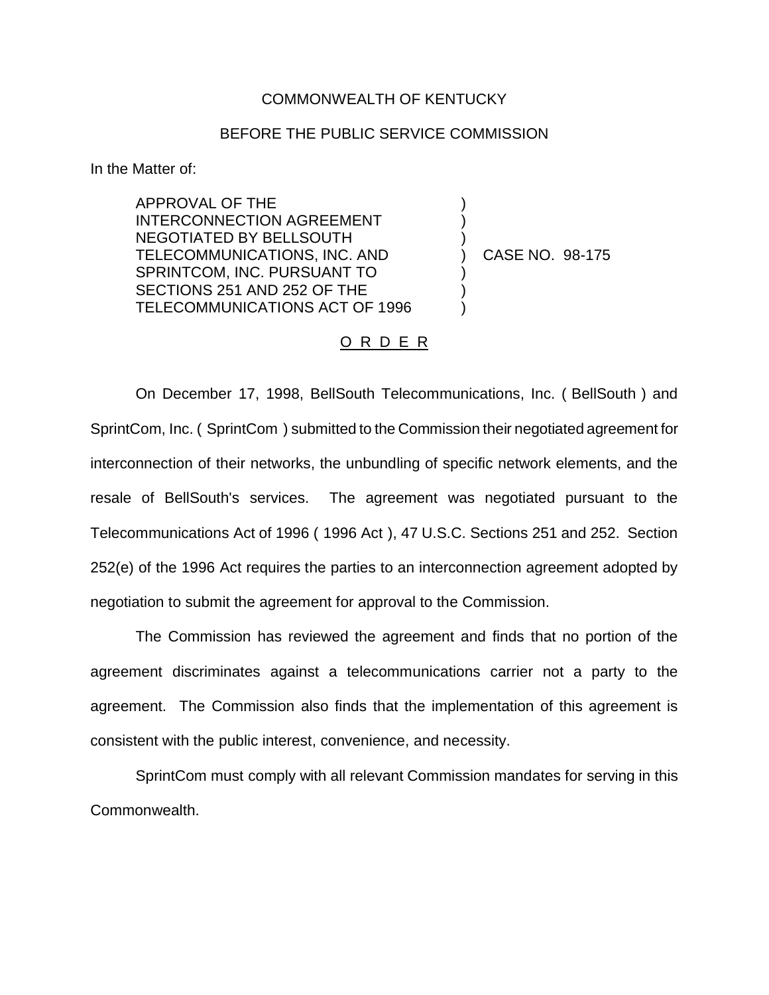## COMMONWEALTH OF KENTUCKY

## BEFORE THE PUBLIC SERVICE COMMISSION

) ) )

) ) )

In the Matter of:

APPROVAL OF THE INTERCONNECTION AGREEMENT NEGOTIATED BY BELLSOUTH TELECOMMUNICATIONS, INC. AND SPRINTCOM, INC. PURSUANT TO SECTIONS 251 AND 252 OF THE TELECOMMUNICATIONS ACT OF 1996

) CASE NO. 98-175

## O R D E R

On December 17, 1998, BellSouth Telecommunications, Inc. ( BellSouth ) and SprintCom, Inc. ( SprintCom ) submitted to the Commission their negotiated agreement for interconnection of their networks, the unbundling of specific network elements, and the resale of BellSouth's services. The agreement was negotiated pursuant to the Telecommunications Act of 1996 ( 1996 Act ), 47 U.S.C. Sections 251 and 252. Section 252(e) of the 1996 Act requires the parties to an interconnection agreement adopted by negotiation to submit the agreement for approval to the Commission.

The Commission has reviewed the agreement and finds that no portion of the agreement discriminates against a telecommunications carrier not a party to the agreement. The Commission also finds that the implementation of this agreement is consistent with the public interest, convenience, and necessity.

SprintCom must comply with all relevant Commission mandates for serving in this Commonwealth.